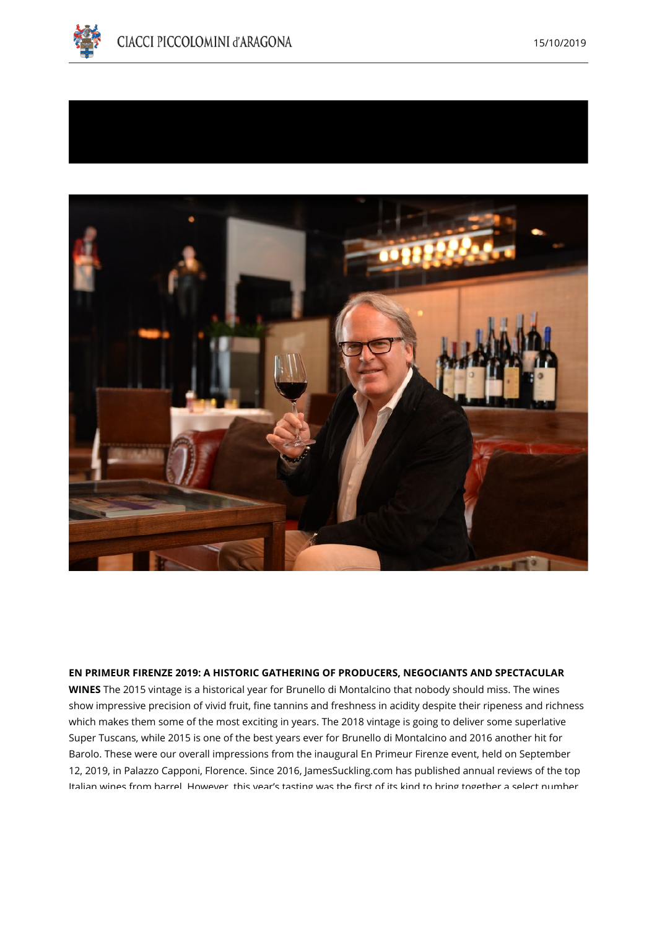





## **EN PRIMEUR FIRENZE 2019: A HISTORIC GATHERING OF PRODUCERS, NEGOCIANTS AND SPECTACULAR**

**WINES** The 2015 vintage is a historical year for Brunello di Montalcino that nobody should miss. The wines show impressive precision of vivid fruit, fine tannins and freshness in acidity despite their ripeness and richness which makes them some of the most exciting in years. The 2018 vintage is going to deliver some superlative Super Tuscans, while 2015 is one of the best years ever for Brunello di Montalcino and 2016 another hit for Barolo. These were our overall impressions from the inaugural En Primeur Firenze event, held on September 12, 2019, in Palazzo Capponi, Florence. Since 2016, JamesSuckling.com has published annual reviews of the top Italian wines from barrel. However, this year's tasting was the first of its kind to bring together a select number